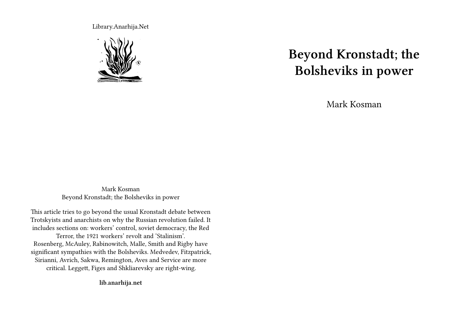Library.Anarhija.Net



# **Beyond Kronstadt; the Bolsheviks in power**

Mark Kosman

Mark Kosman Beyond Kronstadt; the Bolsheviks in power

This article tries to go beyond the usual Kronstadt debate between Trotskyists and anarchists on why the Russian revolution failed. It includes sections on: workers' control, soviet democracy, the Red Terror, the 1921 workers' revolt and 'Stalinism'. Rosenberg, McAuley, Rabinowitch, Malle, Smith and Rigby have significant sympathies with the Bolsheviks. Medvedev, Fitzpatrick, Sirianni, Avrich, Sakwa, Remington, Aves and Service are more critical. Leggett, Figes and Shkliarevsky are right-wing.

**lib.anarhija.net**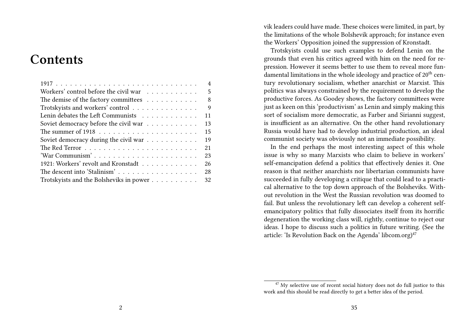# **Contents**

|                                             | $\overline{4}$ |
|---------------------------------------------|----------------|
| Workers' control before the civil war       | 5              |
| The demise of the factory committees        | 8              |
| Trotskyists and workers' control            | 9              |
| Lenin debates the Left Communists<br>11     |                |
| Soviet democracy before the civil war<br>13 |                |
| 15                                          |                |
| 19<br>Soviet democracy during the civil war |                |
| 21                                          |                |
| 'War Communism'<br>23                       |                |
| 1921: Workers' revolt and Kronstadt<br>26   |                |
| The descent into 'Stalinism'<br>28          |                |
| 32                                          |                |

vik leaders could have made. These choices were limited, in part, by the limitations of the whole Bolshevik approach; for instance even the Workers' Opposition joined the suppression of Kronstadt.

Trotskyists could use such examples to defend Lenin on the grounds that even his critics agreed with him on the need for repression. However it seems better to use them to reveal more fundamental limitations in the whole ideology and practice of  $20<sup>th</sup>$  century revolutionary socialism, whether anarchist or Marxist. This politics was always constrained by the requirement to develop the productive forces. As Goodey shows, the factory committees were just as keen on this 'productivism' as Lenin and simply making this sort of socialism more democratic, as Farber and Sirianni suggest, is insufficient as an alternative. On the other hand revolutionary Russia would have had to develop industrial production, an ideal communist society was obviously not an immediate possibility.

In the end perhaps the most interesting aspect of this whole issue is why so many Marxists who claim to believe in workers' self-emancipation defend a politics that effectively denies it. One reason is that neither anarchists nor libertarian communists have succeeded in fully developing a critique that could lead to a practical alternative to the top down approach of the Bolsheviks. Without revolution in the West the Russian revolution was doomed to fail. But unless the revolutionary left can develop a coherent selfemancipatory politics that fully dissociates itself from its horrific degeneration the working class will, rightly, continue to reject our ideas. I hope to discuss such a politics in future writing. (See the article: 'Is Revolution Back on the Agenda' libcom.org)<sup>47</sup>

 $47$  My selective use of recent social history does not do full justice to this work and this should be read directly to get a better idea of the period.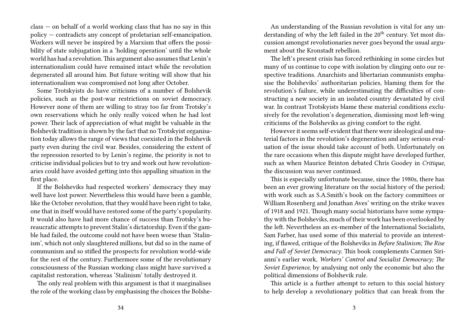class — on behalf of a world working class that has no say in this policy — contradicts any concept of proletarian self-emancipation. Workers will never be inspired by a Marxism that offers the possibility of state subjugation in a 'holding operation' until the whole world has had a revolution.This argument also assumes that Lenin's internationalism could have remained intact while the revolution degenerated all around him. But future writing will show that his internationalism was compromised not long after October.

Some Trotskyists do have criticisms of a number of Bolshevik policies, such as the post-war restrictions on soviet democracy. However none of them are willing to stray too far from Trotsky's own reservations which he only really voiced when he had lost power. Their lack of appreciation of what might be valuable in the Bolshevik tradition is shown by the fact that no Trotskyist organisation today allows the range of views that coexisted in the Bolshevik party even during the civil war. Besides, considering the extent of the repression resorted to by Lenin's regime, the priority is not to criticise individual policies but to try and work out how revolutionaries could have avoided getting into this appalling situation in the first place.

If the Bolsheviks had respected workers' democracy they may well have lost power. Nevertheless this would have been a gamble, like the October revolution, that they would have been right to take, one that in itself would have restored some of the party's popularity. It would also have had more chance of success than Trotsky's bureaucratic attempts to prevent Stalin's dictatorship. Even if the gamble had failed, the outcome could not have been worse than 'Stalinism', which not only slaughtered millions, but did so in the name of communism and so stifled the prospects for revolution world-wide for the rest of the century. Furthermore some of the revolutionary consciousness of the Russian working class might have survived a capitalist restoration, whereas 'Stalinism' totally destroyed it.

The only real problem with this argument is that it marginalises the role of the working class by emphasising the choices the Bolshe-

An understanding of the Russian revolution is vital for any understanding of why the left failed in the  $20<sup>th</sup>$  century. Yet most discussion amongst revolutionaries never goes beyond the usual argument about the Kronstadt rebellion.

The left's present crisis has forced rethinking in some circles but many of us continue to cope with isolation by clinging onto our respective traditions. Anarchists and libertarian communists emphasise the Bolsheviks' authoritarian policies, blaming them for the revolution's failure, while underestimating the difficulties of constructing a new society in an isolated country devastated by civil war. In contrast Trotskyists blame these material conditions exclusively for the revolution's degeneration, dismissing most left-wing criticisms of the Bolsheviks as giving comfort to the right.

However it seems self-evident that there were ideological and material factors in the revolution's degeneration and any serious evaluation of the issue should take account of both. Unfortunately on the rare occasions when this dispute might have developed further, such as when Maurice Brinton debated Chris Goodey in *Critique*, the discussion was never continued.

This is especially unfortunate because, since the 1980s, there has been an ever growing literature on the social history of the period; with work such as S.A.Smith's book on the factory committees or William Rosenberg and Jonathan Aves' writing on the strike waves of 1918 and 1921. Though many social historians have some sympathy with the Bolsheviks, much of their work has been overlooked by the left. Nevertheless an ex-member of the International Socialists, Sam Farber, has used some of this material to provide an interesting, if flawed, critique of the Bolsheviks in *Before Stalinism; The Rise and Fall of Soviet Democracy*. This book complements Carmen Sirianni's earlier work, *Workers' Control and Socialist Democracy; The Soviet Experience*, by analysing not only the economic but also the political dimensions of Bolshevik rule.

This article is a further attempt to return to this social history to help develop a revolutionary politics that can break from the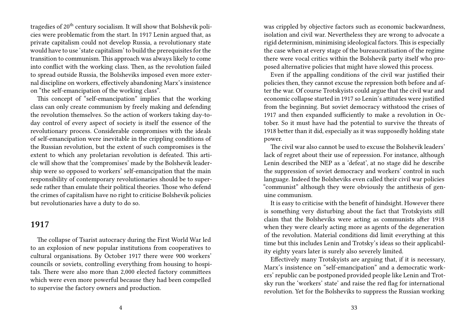tragedies of 20<sup>th</sup> century socialism. It will show that Bolshevik policies were problematic from the start. In 1917 Lenin argued that, as private capitalism could not develop Russia, a revolutionary state would have to use 'state capitalism' to build the prerequisites for the transition to communism. This approach was always likely to come into conflict with the working class. Then, as the revolution failed to spread outside Russia, the Bolsheviks imposed even more external discipline on workers, effectively abandoning Marx's insistence on "the self-emancipation of the working class".

This concept of "self-emancipation" implies that the working class can only create communism by freely making and defending the revolution themselves. So the action of workers taking day-today control of every aspect of society is itself the essence of the revolutionary process. Considerable compromises with the ideals of self-emancipation were inevitable in the crippling conditions of the Russian revolution, but the extent of such compromises is the extent to which any proletarian revolution is defeated. This article will show that the 'compromises' made by the Bolshevik leadership were so opposed to workers' self-emancipation that the main responsibility of contemporary revolutionaries should be to supersede rather than emulate their political theories. Those who defend the crimes of capitalism have no right to criticise Bolshevik policies but revolutionaries have a duty to do so.

#### **1917**

The collapse of Tsarist autocracy during the First World War led to an explosion of new popular institutions from cooperatives to cultural organisations. By October 1917 there were 900 workers' councils or soviets, controlling everything from housing to hospitals. There were also more than 2,000 elected factory committees which were even more powerful because they had been compelled to supervise the factory owners and production.

was crippled by objective factors such as economic backwardness, isolation and civil war. Nevertheless they are wrong to advocate a rigid determinism, minimising ideological factors. This is especially the case when at every stage of the bureaucratisation of the regime there were vocal critics within the Bolshevik party itself who proposed alternative policies that might have slowed this process.

Even if the appalling conditions of the civil war justified their policies then, they cannot excuse the repression both before and after the war. Of course Trotskyists could argue that the civil war and economic collapse started in 1917 so Lenin's attitudes were justified from the beginning. But soviet democracy withstood the crises of 1917 and then expanded sufficiently to make a revolution in October. So it must have had the potential to survive the threats of 1918 better than it did, especially as it was supposedly holding state power.

The civil war also cannot be used to excuse the Bolshevik leaders' lack of regret about their use of repression. For instance, although Lenin described the NEP as a 'defeat', at no stage did he describe the suppression of soviet democracy and workers' control in such language. Indeed the Bolsheviks even called their civil war policies "communist" although they were obviously the antithesis of genuine communism.

It is easy to criticise with the benefit of hindsight. However there is something very disturbing about the fact that Trotskyists still claim that the Bolsheviks were acting as communists after 1918 when they were clearly acting more as agents of the degeneration of the revolution. Material conditions did limit everything at this time but this includes Lenin and Trotsky's ideas so their applicability eighty years later is surely also severely limited.

Effectively many Trotskyists are arguing that, if it is necessary, Marx's insistence on "self-emancipation" and a democratic workers' republic can be postponed provided people like Lenin and Trotsky run the 'workers' state' and raise the red flag for international revolution. Yet for the Bolsheviks to suppress the Russian working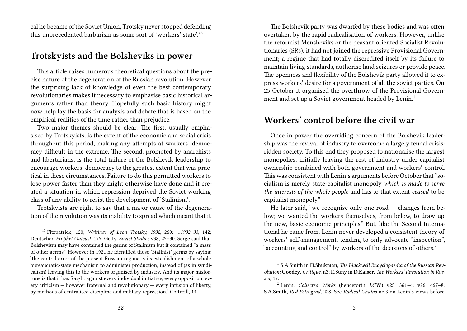cal he became of the Soviet Union, Trotsky never stopped defending this unprecedented barbarism as some sort of 'workers' state'.<sup>46</sup>

#### **Trotskyists and the Bolsheviks in power**

This article raises numerous theoretical questions about the precise nature of the degeneration of the Russian revolution. However the surprising lack of knowledge of even the best contemporary revolutionaries makes it necessary to emphasise basic historical arguments rather than theory. Hopefully such basic history might now help lay the basis for analysis and debate that is based on the empirical realities of the time rather than prejudice.

Two major themes should be clear. The first, usually emphasised by Trotskyists, is the extent of the economic and social crisis throughout this period, making any attempts at workers' democracy difficult in the extreme. The second, promoted by anarchists and libertarians, is the total failure of the Bolshevik leadership to encourage workers' democracy to the greatest extent that was practical in these circumstances. Failure to do this permitted workers to lose power faster than they might otherwise have done and it created a situation in which repression deprived the Soviet working class of any ability to resist the development of 'Stalinism'.

Trotskyists are right to say that a major cause of the degeneration of the revolution was its inability to spread which meant that it

The Bolshevik party was dwarfed by these bodies and was often overtaken by the rapid radicalisation of workers. However, unlike the reformist Mensheviks or the peasant oriented Socialist Revolutionaries (SRs), it had not joined the repressive Provisional Government; a regime that had totally discredited itself by its failure to maintain living standards, authorise land seizures or provide peace. The openness and flexibility of the Bolshevik party allowed it to express workers' desire for a government of all the soviet parties. On 25 October it organised the overthrow of the Provisional Government and set up a Soviet government headed by Lenin.<sup>1</sup>

# **Workers' control before the civil war**

Once in power the overriding concern of the Bolshevik leadership was the revival of industry to overcome a largely feudal crisisridden society. To this end they proposed to nationalise the largest monopolies, initially leaving the rest of industry under capitalist ownership combined with both government and workers' control. This was consistent with Lenin's arguments before October that "socialism is merely state-capitalist monopoly *which is made to serve the interests of the whole people* and has to that extent *ceased* to be capitalist monopoly."

He later said, "we recognise only one road — changes from below; we wanted the workers themselves, from below, to draw up the new, basic economic principles." But, like the Second International he came from, Lenin never developed a consistent theory of workers' self-management, tending to only advocate "inspection", "accounting and control" by workers of the decisions of others.<sup>2</sup>

<sup>46</sup> Fitzpatrick, 120; *Writings of Leon Trotsky, 1932*, 260; *…1932–33*, 142; Deutscher, *Prophet Outcast*, 175; Getty, *Soviet Studies* v38, 25–30. Serge said that Bolshevism may have contained the germs of Stalinism but it contained "a mass of other germs". However in 1921 he identified those 'Stalinist' germs by saying: "the central error of the present Russian regime is its establishment of a whole bureaucratic-state mechanism to administer production, instead of (as in syndicalism) leaving this to the workers organised by industry. And its major misfortune is that it has fought against every individual initiative, every opposition, every criticism — however fraternal and revolutionary — every infusion of liberty, by methods of centralised discipline and military repression." Cotterill, 14.

<sup>1</sup> S.A.Smith in **H.Shukman**, *The Blackwell Encyclopaedia of the Russian Revolution;* **Goodey**, *Critique*, n3**;** R.Suny in **D.Kaiser**, *The Workers' Revolution in Russia,* 17.

<sup>2</sup> Lenin, *Collected Works* (henceforth *LCW*) v25, 361–4; v26, 467–8; **S.A.Smith**, *Red Petrograd*, 228. See *Radical Chains* no.3 on Lenin's views before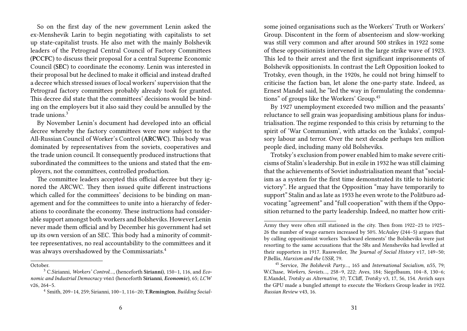So on the first day of the new government Lenin asked the ex-Menshevik Larin to begin negotiating with capitalists to set up state-capitalist trusts. He also met with the mainly Bolshevik leaders of the Petrograd Central Council of Factory Committees (**PCCFC**) to discuss their proposal for a central Supreme Economic Council (**SEC**) to coordinate the economy. Lenin was interested in their proposal but he declined to make it official and instead drafted a decree which stressed issues of local workers' supervision that the Petrograd factory committees probably already took for granted. This decree did state that the committees' decisions would be binding on the employers but it also said they could be annulled by the trade unions<sup>3</sup>

By November Lenin's document had developed into an official decree whereby the factory committees were now subject to the All-Russian Council of Worker's Control (**ARCWC**). This body was dominated by representatives from the soviets, cooperatives and the trade union council. It consequently produced instructions that subordinated the committees to the unions and stated that the employers, not the committees, controlled production.

The committee leaders accepted this official decree but they ignored the ARCWC. They then issued quite different instructions which called for the committees' decisions to be binding on management and for the committees to unite into a hierarchy of federations to coordinate the economy. These instructions had considerable support amongst both workers and Bolsheviks. However Lenin never made them official and by December his government had set up its own version of an SEC. This body had a minority of committee representatives, no real accountability to the committees and it was always overshadowed by the Commissariats.<sup>4</sup>

some joined organisations such as the Workers' Truth or Workers' Group. Discontent in the form of absenteeism and slow-working was still very common and after around 500 strikes in 1922 some of these oppositionists intervened in the large strike wave of 1923. This led to their arrest and the first significant imprisonments of Bolshevik oppositionists. In contrast the Left Opposition looked to Trotsky, even though, in the 1920s, he could not bring himself to criticise the faction ban, let alone the one-party state. Indeed, as Ernest Mandel said, he "led the way in formulating the condemnations" of groups like the Workers' Group.<sup>45</sup>

By 1927 unemployment exceeded two million and the peasants' reluctance to sell grain was jeopardising ambitious plans for industrialisation. The regime responded to this crisis by returning to the spirit of 'War Communism', with attacks on the 'kulaks', compulsory labour and terror. Over the next decade perhaps ten million people died, including many old Bolsheviks.

Trotsky's exclusion from power enabled him to make severe criticisms of Stalin's leadership. But in exile in 1932 he was still claiming that the achievements of Soviet industrialisation meant that "socialism as a system for the first time demonstrated its title to historic victory". He argued that the Opposition "may have temporarily to support" Stalin and as late as 1933 he even wrote to the Politburo advocating "agreement" and "full cooperation" with them if the Opposition returned to the party leadership. Indeed, no matter how criti-

October.

<sup>3</sup> C.Sirianni, *Workers' Control…,* (henceforth **Sirianni**), 150–1, 116, and *Economic and Industrial Democracy* v6n1 (henceforth **Sirianni**, *Economic*), 65; *LCW* v26, 264–5.

<sup>4</sup> Smith, 209–14, 259; Sirianni, 100–1, 116–20; **T.Remington**, *Building Social-*

Army they were often still stationed in the city. Then from 1922–23 to 1925– 26 the number of wage earners increased by 50%. McAuley (244–5) argues that by calling oppositionist workers 'backward elements' the Bolsheviks were just resorting to the same accusations that the SRs and Mensheviks had levelled at their supporters in 1917. Rassweiler, *The Journal of Social History* v17, 149–50; P.Bellis, *Marxism and the USSR*, 79.

<sup>45</sup> Service, *The Bolshevik Party…,* 165 and *International Socialism*, n55, 79; W.Chase, *Workers, Soviets…,* 258–9, 222; Aves, 184; Siegelbaum, 104–8, 130–6; E.Mandel, *Trotsky as Alternative,* 37; T.Cliff, *Trotsky* v3, 17, 56, 154. Avrich says the GPU made a bungled attempt to execute the Workers Group leader in 1922. *Russian Review* v43, 16.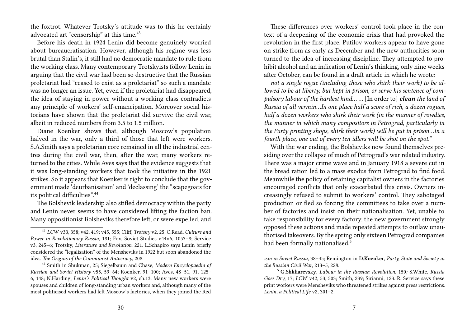the foxtrot. Whatever Trotsky's attitude was to this he certainly advocated art "censorship" at this time.<sup>43</sup>

Before his death in 1924 Lenin did become genuinely worried about bureaucratisation. However, although his regime was less brutal than Stalin's, it still had no democratic mandate to rule from the working class. Many contemporary Trotskyists follow Lenin in arguing that the civil war had been so destructive that the Russian proletariat had "ceased to exist as a proletariat" so such a mandate was no longer an issue. Yet, even if the proletariat had disappeared, the idea of staying in power without a working class contradicts any principle of workers' self-emancipation. Moreover social historians have shown that the proletariat did survive the civil war, albeit in reduced numbers from 3.5 to 1.5 million.

Diane Koenker shows that, although Moscow's population halved in the war, only a third of those that left were workers. S.A.Smith says a proletarian core remained in all the industrial centres during the civil war, then, after the war, many workers returned to the cities. While Aves says that the evidence suggests that it was long-standing workers that took the initiative in the 1921 strikes. So it appears that Koenker is right to conclude that the government made 'deurbanisation' and 'declassing' the "scapegoats for its political difficulties".<sup>44</sup>

The Bolshevik leadership also stifled democracy within the party and Lenin never seems to have considered lifting the faction ban. Many oppositionist Bolsheviks therefore left, or were expelled, and

These differences over workers' control took place in the context of a deepening of the economic crisis that had provoked the revolution in the first place. Putilov workers appear to have gone on strike from as early as December and the new authorities soon turned to the idea of increasing discipline. They attempted to prohibit alcohol and an indication of Lenin's thinking, only nine weeks after October, can be found in a draft article in which he wrote:

*not a single rogue (including those who shirk their work) to be allowed to be at liberty, but kept in prison, or serve his sentence of compulsory labour of the hardest kind… …* [In order to] *clean the land of Russia of all vermin…In one place half a score of rich, a dozen rogues, half a dozen workers who shirk their work (in the manner of rowdies, the manner in which many compositors in Petrograd, particularly in the Party printing shops, shirk their work) will be put in prison…In a fourth place, one out of every ten idlers will be shot on the spot.*"

With the war ending, the Bolsheviks now found themselves presiding over the collapse of much of Petrograd's war related industry. There was a major crime wave and in January 1918 a severe cut in the bread ration led to a mass exodus from Petrograd to find food. Meanwhile the policy of retaining capitalist owners in the factories encouraged conflicts that only exacerbated this crisis. Owners increasingly refused to submit to workers' control. They sabotaged production or fled so forcing the committees to take over a number of factories and insist on their nationalisation. Yet, unable to take responsibility for every factory, the new government strongly opposed these actions and made repeated attempts to outlaw unauthorised takeovers. By the spring only sixteen Petrograd companies had been formally nationalised.<sup>5</sup>

<sup>43</sup> *LCW* v33, 358; v42, 419; v45, 555; Cliff, *Trotsky* v2, 25; C.Read, *Culture and Power in Revolutionary Russia*, 181; Fox, Soviet Studies v44n6, 1053–8; Service v3, 245–6; Trotsky, *Literature and Revolution*, 221. L.Schapiro says Lenin briefly considered the "legalisation" of the Mensheviks in 1922 but soon abandoned the idea. *The Origins of the Communist Autocracy*, 208.

<sup>44</sup> Smith in Shukman, 25; Siegelbaum and Chase, *Modern Encyclopaedia of Russian and Soviet History* v55, 59–64; Koenker, 91–100; Aves, 48–51, 91, 125– 6, 148; N.Harding, *Lenin's Political Thought* v2, ch.13. Many new workers were spouses and children of long-standing urban workers and, although many of the most politicised workers had left Moscow's factories, when they joined the Red

*ism in Soviet Russia*, 38–45; Remington in **D.Koenker**, *Party, State and Society in the Russian Civil War*, 213–5, 228.

<sup>5</sup> **G.Shkliarevsky**, *Labour in the Russian Revolution*, 150*;* S.White, *Russia Goes Dry*, 17; *LCW* v42, 53, 503; Smith, 239; Sirianni, 123. R. Service says these print workers were Mensheviks who threatened strikes against press restrictions. *Lenin, a Political Life* v2, 301–2.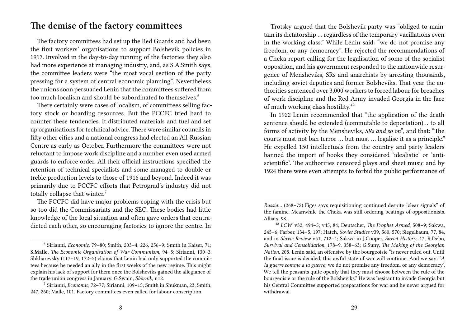# **The demise of the factory committees**

The factory committees had set up the Red Guards and had been the first workers' organisations to support Bolshevik policies in 1917. Involved in the day-to-day running of the factories they also had more experience at managing industry, and, as S.A.Smith says, the committee leaders were "the most vocal section of the party pressing for a system of central economic planning". Nevertheless the unions soon persuaded Lenin that the committees suffered from too much localism and should be subordinated to themselves.<sup>6</sup>

There certainly were cases of localism, of committees selling factory stock or hoarding resources. But the PCCFC tried hard to counter these tendencies. It distributed materials and fuel and set up organisations for technical advice.There were similar councils in fifty other cities and a national congress had elected an All-Russian Centre as early as October. Furthermore the committees were not reluctant to impose work discipline and a number even used armed guards to enforce order. All their official instructions specified the retention of technical specialists and some managed to double or treble production levels to those of 1916 and beyond. Indeed it was primarily due to PCCFC efforts that Petrograd's industry did not totally collapse that winter.<sup>7</sup>

The PCCFC did have major problems coping with the crisis but so too did the Commissariats and the SEC. These bodies had little knowledge of the local situation and often gave orders that contradicted each other, so encouraging factories to ignore the centre. In

Trotsky argued that the Bolshevik party was "obliged to maintain its dictatorship … regardless of the temporary vacillations even in the working class." While Lenin said: "we do not promise any freedom, or any democracy". He rejected the recommendations of a Cheka report calling for the legalisation of some of the socialist opposition, and his government responded to the nationwide resurgence of Mensheviks, SRs and anarchists by arresting thousands, including soviet deputies and former Bolsheviks. That year the authorities sentenced over 3,000 workers to forced labour for breaches of work discipline and the Red Army invaded Georgia in the face of much working class hostility.<sup>42</sup>

In 1922 Lenin recommended that "the application of the death sentence should be extended (commutable to deportation)… to all forms of activity by the Mensheviks, *SRs and so on*", and that: "The courts must not ban terror … but must … legalise it as a principle." He expelled 150 intellectuals from the country and party leaders banned the import of books they considered 'idealistic' or 'antiscientific'. The authorities censored plays and sheet music and by 1924 there were even attempts to forbid the public performance of

<sup>6</sup> Sirianni, *Economic,* 79–80; Smith, 203–4, 226, 256–9; Smith in Kaiser, 71; **S.Malle**, *The Economic Organisation of War Communism,* 94–5; Sirianni, 130–3. Shkliarevsky (117–19, 172–5) claims that Lenin had only supported the committees because he needed an ally in the first weeks of the new regime. This might explain his lack of support for them once the Bolsheviks gained the allegiance of the trade union congress in January. G.Swain, *Sbornik*, n12.

<sup>7</sup> Sirianni, *Economic,* 72–77; Sirianni, 109–15; Smith in Shukman, 23; Smith, 247, 260; Malle, 101. Factory committees even called for labour conscription.

*Russia…* (268–72) Figes says requisitioning continued despite "clear signals" of the famine. Meanwhile the Cheka was still ordering beatings of oppositionists. Albats, 98.

<sup>42</sup> *LCW* v32, 494–5; v45, 84; Deutscher, *The Prophet Armed*, 508–9; Sakwa, 245–6; Farber, 134–5, 197; Hatch, *Soviet Studies* v39, 560, 570; Siegelbaum, 77, 84, and in *Slavic Review* v51, 712–4; Sakwa in J.Cooper, *Soviet History*, 47; R.Debo, *Survival and Consolidation*, 178–9, 358–63; G.Suny, *The Making of the Georgian Nation,* 205. Lenin said, an offensive by the bourgeoisie "is never ruled out. Until the final issue is decided, this awful state of war will continue. And we say: '*A la guerre comme a la guerre*; we do not promise any freedom, or any democracy'. We tell the peasants quite openly that they must choose between the rule of the bourgeoisie or the rule of the Bolsheviks." He was hesitant to invade Georgia but his Central Committee supported preparations for war and he never argued for withdrawal.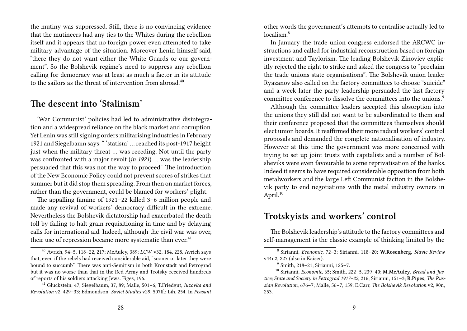the mutiny was suppressed. Still, there is no convincing evidence that the mutineers had any ties to the Whites during the rebellion itself and it appears that no foreign power even attempted to take military advantage of the situation. Moreover Lenin himself said, "there they do not want either the White Guards or our government". So the Bolshevik regime's need to suppress any rebellion calling for democracy was at least as much a factor in its attitude to the sailors as the threat of intervention from abroad. $40$ 

#### **The descent into 'Stalinism'**

'War Communist' policies had led to administrative disintegration and a widespread reliance on the black market and corruption. Yet Lenin was still signing orders militarising industries in February 1921 and Siegelbaum says: " 'statism' … reached its post-1917 height just when the military threat … was receding. Not until the party was confronted with a major revolt (*in 1921*) … was the leadership persuaded that this was not the way to proceed." The introduction of the New Economic Policy could not prevent scores of strikes that summer but it did stop them spreading. From then on market forces, rather than the government, could be blamed for workers' plight.

The appalling famine of 1921–22 killed 3–6 million people and made any revival of workers' democracy difficult in the extreme. Nevertheless the Bolshevik dictatorship had exacerbated the death toll by failing to halt grain requisitioning in time and by delaying calls for international aid. Indeed, although the civil war was over, their use of repression became more systematic than ever. $41$ 

other words the government's attempts to centralise actually led to localism $8$ 

In January the trade union congress endorsed the ARCWC instructions and called for industrial reconstruction based on foreign investment and Taylorism. The leading Bolshevik Zinoviev explicitly rejected the right to strike and asked the congress to "proclaim the trade unions state organisations". The Bolshevik union leader Ryazanov also called on the factory committees to choose "suicide" and a week later the party leadership persuaded the last factory committee conference to dissolve the committees into the unions.<sup>9</sup>

Although the committee leaders accepted this absorption into the unions they still did not want to be subordinated to them and their conference proposed that the committees themselves should elect union boards. It reaffirmed their more radical workers' control proposals and demanded the complete nationalisation of industry. However at this time the government was more concerned with trying to set up joint trusts with capitalists and a number of Bolsheviks were even favourable to some reprivatisation of the banks. Indeed it seems to have required considerable opposition from both metalworkers and the large Left Communist faction in the Bolshevik party to end negotiations with the metal industry owners in April. $10$ 

#### **Trotskyists and workers' control**

The Bolshevik leadership's attitude to the factory committees and self-management is the classic example of thinking limited by the

<sup>40</sup> Avrich, 94–5, 118–22, 217; McAuley, 389; *LCW* v32, 184, 228. Avrich says that, even if the rebels had received considerable aid, "sooner or later they were bound to succumb". There was anti-Semitism in both Kronstadt and Petrograd but it was no worse than that in the Red Army and Trotsky received hundreds of reports of his soldiers attacking Jews. Figes, 196.

<sup>41</sup> Gluckstein, 47; Siegelbaum, 37, 89; Malle, 501–6; T.Friedgut, *Iuzovka and Revolution* v2, 429–33; Edmondson, *Soviet Studies* v29, 507ff.; Lih, 254. In *Peasant*

<sup>8</sup> Sirianni, *Economic,* 72–3; Sirianni, 118–20; **W.Rosenberg**, *Slavic Review* v44n2, 227 (also in Kaiser).

<sup>9</sup> Smith, 218–21; Sirianni, 125–7.

<sup>10</sup> Sirianni, *Economic,* 65; Smith, 222–5, 239–40; **M.McAuley**, *Bread and Justice; State and Society in Petrograd 1917–22*, 216; Sirianni, 151–3; **R.Pipes**, *The Russian Revolution*, 676–7; Malle, 56–7, 159; E.Carr, *The Bolshevik Revolution* v2, 90n, 253.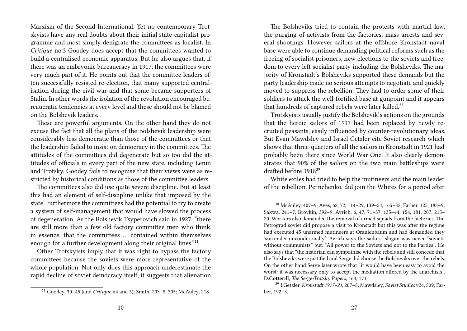Marxism of the Second International. Yet no contemporary Trotskyists have any real doubts about their initial state-capitalist programme and most simply denigrate the committees as localist. In *Critique* no.3 Goodey does accept that the committees wanted to build a centralised economic apparatus. But he also argues that, if there was an embryonic bureaucracy in 1917, the committees were very much part of it. He points out that the committee leaders often successfully resisted re-election, that many supported centralisation during the civil war and that some became supporters of Stalin. In other words the isolation of the revolution encouraged bureaucratic tendencies at every level and these should not be blamed on the Bolshevik leaders.

These are powerful arguments. On the other hand they do not excuse the fact that all the plans of the Bolshevik leadership were considerably less democratic than those of the committees or that the leadership failed to insist on democracy in the committees. The attitudes of the committees did degenerate but so too did the attitudes of officials in every part of the new state, including Lenin and Trotsky. Goodey fails to recognise that their views were as restricted by historical conditions as those of the committee leaders.

The committees also did use quite severe discipline. But at least this had an element of self-discipline unlike that imposed by the state. Furthermore the committees had the potential to try to create a system of self-management that would have slowed the process of degeneration. As the Bolshevik Tsyperovich said in 1927: "there are still more than a few old factory committee men who think, in essence, that the committees … contained within themselves enough for a further development along their original lines."<sup>11</sup>

Other Trotskyists imply that it was right to bypass the factory committees because the soviets were more representative of the whole population. Not only does this approach underestimate the rapid decline of soviet democracy itself, it suggests that alienation

The Bolsheviks tried to contain the protests with martial law, the purging of activists from the factories, mass arrests and several shootings. However sailors at the offshore Kronstadt naval base were able to continue demanding political reforms such as the freeing of socialist prisoners, new elections to the soviets and freedom to every left socialist party including the Bolsheviks. The majority of Kronstadt's Bolsheviks supported these demands but the party leadership made no serious attempts to negotiate and quickly moved to suppress the rebellion. They had to order some of their soldiers to attack the well-fortified base at gunpoint and it appears that hundreds of captured rebels were later killed.<sup>38</sup>

Trotskyists usually justify the Bolshevik's actions on the grounds that the heroic sailors of 1917 had been replaced by newly recruited peasants, easily influenced by counter-revolutionary ideas. But Evan Mawdsley and Israel Getzler cite Soviet research which shows that three-quarters of all the sailors in Kronstadt in 1921 had probably been there since World War One. It also clearly demonstrates that 90% of the sailors on the two main battleships were drafted before 1918<sup>39</sup>

White exiles had tried to help the mutineers and the main leader of the rebellion, Petrichenko, did join the Whites for a period after

<sup>11</sup> Goodey, 30–45 (and *Critique* n4 and 5); Smith, 203–8, 305; McAuley, 218.

<sup>38</sup> McAuley, 407–9; Aves, 62, 72, 114–29, 139–54, 165–82; Farber, 125, 188–9; Sakwa, 241–7; Brovkin, 392–9; Avrich, 6, 47, 71–87, 135–44, 154, 181, 207, 215– 20. Workers also demanded the removal of armed squads from the factories. The Petrograd soviet did propose a visit to Kronstadt but this was after the regime had executed 45 unarmed mutineers at Oranienbaum and had demanded they 'surrender unconditionally'. Avrich says the sailors' slogan was never "soviets without communists" but: "All power to the Soviets and not to the Parties". He also says that "the historian can sympathise with the rebels and still concede that the Bolsheviks were justified and Serge did choose the Bolsheviks over the rebels. On the other hand Serge later wrote that "it would have been easy to avoid the worst: it was necessary only to accept the mediation offered by the anarchists". **D.Cotterill**, *The Serge-Trotsky Papers*, 164, 171.

<sup>39</sup> I.Getzler, *Kronstadt 1917–21*, 207–8; Mawdsley, *Soviet Studies* v24, 509; Farber, 192–3.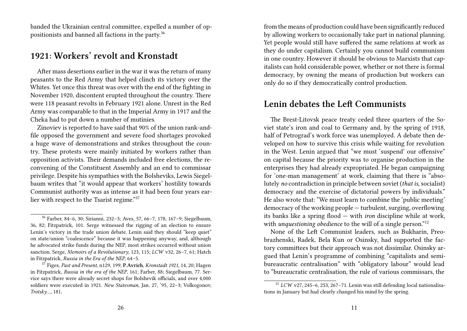banded the Ukrainian central committee, expelled a number of oppositionists and banned all factions in the party.<sup>36</sup>

#### **1921: Workers' revolt and Kronstadt**

After mass desertions earlier in the war it was the return of many peasants to the Red Army that helped clinch its victory over the Whites. Yet once this threat was over with the end of the fighting in November 1920, discontent erupted throughout the country. There were 118 peasant revolts in February 1921 alone. Unrest in the Red Army was comparable to that in the Imperial Army in 1917 and the Cheka had to put down a number of mutinies.

Zinoviev is reported to have said that 90% of the union rank-andfile opposed the government and severe food shortages provoked a huge wave of demonstrations and strikes throughout the country. These protests were mainly initiated by workers rather than opposition activists. Their demands included free elections, the reconvening of the Constituent Assembly and an end to commissar privilege. Despite his sympathies with the Bolsheviks, Lewis Siegelbaum writes that "it would appear that workers' hostility towards Communist authority was as intense as it had been four years earlier with respect to the Tsarist regime."<sup>37</sup>

from the means of production could have been significantly reduced by allowing workers to occasionally take part in national planning. Yet people would still have suffered the same relations at work as they do under capitalism. Certainly you cannot build communism in one country. However it should be obvious to Marxists that capitalists can hold considerable power, whether or not there is formal democracy, by owning the means of production but workers can only do so if they democratically control production.

# **Lenin debates the Left Communists**

The Brest-Litovsk peace treaty ceded three quarters of the Soviet state's iron and coal to Germany and, by the spring of 1918, half of Petrograd's work force was unemployed. A debate then developed on how to survive this crisis while waiting for revolution in the West. Lenin argued that "we must 'suspend' our offensive" on capital because the priority was to organise production in the enterprises they had already expropriated. He began campaigning for 'one-man management' at work, claiming that there is "absolutely *no* contradiction in principle between soviet (*that is*, socialist) democracy and the exercise of dictatorial powers by individuals." He also wrote that: "We must learn to combine the 'public meeting' democracy of the working people — turbulent, surging, overflowing its banks like a spring flood — with *iron* discipline while at work, with *unquestioning obedience* to the will of a single person."<sup>12</sup>

None of the Left Communist leaders, such as Bukharin, Preobrazhenski, Radek, Bela Kun or Osinsky, had supported the factory committees but their approach was not dissimilar. Osinsky argued that Lenin's programme of combining "capitalists and semibureaucratic centralisation" with "obligatory labour" would lead to "bureaucratic centralisation, the rule of various commissars, the

<sup>36</sup> Farber, 84–6, 30; Sirianni, 232–3; Aves, 57, 66–7, 178, 167–9; Siegelbaum, 36, 82; Fitzpatrick, 101. Serge witnessed the rigging of an election to ensure Lenin's victory in the trade union debate. Lenin said they should "keep quiet" on state/union "coalescence" because it was happening anyway, and, although he advocated strike funds during the NEP, most strikes occurred without union sanction. Serge, *Memoirs of a Revolutionary*, 123, 115; *LCW* v32, 26–7, 61; Hatch in Fitzpatrick, *Russia in the Era of the NEP,* 64–5.

<sup>37</sup> Figes, *Past and Present*, n129, 199; **P.Avrich**, *Kronstadt 1921,* 14, 20; Hagen in Fitzpatrick, *Russia in the era of the NEP*, 161; Farber, 88; Siegelbaum, 77. Service says there were already secret shops for Bolshevik officials, and over 4,000 soldiers were executed in 1921. *New Statesman*, Jan. 27, '95, 22–3; Volkogonov, *Trotsky…,* 181.

<sup>12</sup> *LCW* v27, 245–6, 253, 267–71. Lenin was still defending local nationalisations in January but had clearly changed his mind by the spring.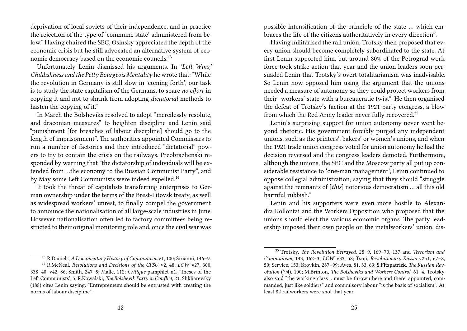deprivation of local soviets of their independence, and in practice the rejection of the type of 'commune state' administered from below." Having chaired the SEC, Osinsky appreciated the depth of the economic crisis but he still advocated an alternative system of economic democracy based on the economic councils.<sup>13</sup>

Unfortunately Lenin dismissed his arguments. In *'Left Wing' Childishness and the Petty Bourgeois Mentality* he wrote that: "While the revolution in Germany is still slow in 'coming forth', our task is to study the state capitalism of the Germans, to spare *no effort* in copying it and not to shrink from adopting *dictatorial* methods to hasten the copying of it."

In March the Bolsheviks resolved to adopt "mercilessly resolute, and draconian measures" to heighten discipline and Lenin said "punishment [for breaches of labour discipline] should go to the length of imprisonment". The authorities appointed Commissars to run a number of factories and they introduced "dictatorial" powers to try to contain the crisis on the railways. Preobrazhenski responded by warning that "the dictatorship of individuals will be extended from …the economy to the Russian Communist Party", and by May some Left Communists were indeed expelled.<sup>14</sup>

It took the threat of capitalists transferring enterprises to German ownership under the terms of the Brest-Litovsk treaty, as well as widespread workers' unrest, to finally compel the government to announce the nationalisation of all large-scale industries in June. However nationalisation often led to factory committees being restricted to their original monitoring role and, once the civil war was

possible intensification of the principle of the state … which embraces the life of the citizens authoritatively in every direction".

Having militarised the rail union, Trotsky then proposed that every union should become completely subordinated to the state. At first Lenin supported him, but around 80% of the Petrograd work force took strike action that year and the union leaders soon persuaded Lenin that Trotsky's overt totalitarianism was inadvisable. So Lenin now opposed him using the argument that the unions needed a measure of autonomy so they could protect workers from their "workers' state with a bureaucratic twist". He then organised the defeat of Trotsky's faction at the 1921 party congress, a blow from which the Red Army leader never fully recovered.<sup>35</sup>

Lenin's surprising support for union autonomy never went beyond rhetoric. His government forcibly purged any independent unions, such as the printers', bakers' or women's unions, and when the 1921 trade union congress voted for union autonomy he had the decision reversed and the congress leaders demoted. Furthermore, although the unions, the SEC and the Moscow party all put up considerable resistance to 'one-man management', Lenin continued to oppose collegial administration, saying that they should "struggle against the remnants of [*this*] notorious democratism … all this old harmful rubbish."

Lenin and his supporters were even more hostile to Alexandra Kollontai and the Workers Opposition who proposed that the unions should elect the various economic organs. The party leadership imposed their own people on the metalworkers' union, dis-

<sup>13</sup> R.Daniels, *A Documentary History of Communism* v1, 100; Sirianni, 146–9.

<sup>14</sup> R.McNeal, *Resolutions and Decisions of the CPSU* v2, 48; *LCW* v27, 300, 338–40; v42, 86; Smith, 247–5; Malle, 112; *Critique* pamphlet n1, 'Theses of the Left Communists', 5; R.Kowalski, *The Bolshevik Party in Conflict,* 21. Shkliarevsky (188) cites Lenin saying: "Entrepreneurs should be entrusted with creating the norms of labour discipline".

<sup>35</sup> Trotsky, *The Revolution Betrayed*, 28–9, 169–70, 137 and *Terrorism and Communism,* 143, 162–3; *LCW* v33, 58; Tsuji, *Revolutionary Russia* v2n1, 67–8, 59; Service, 153; Brovkin, 287–99; Aves, 81, 33, 69; **S.Fitzpatrick**, *The Russian Revolution* ('94), 100; M.Brinton, *The Bolsheviks and Workers Control*, 61–4. Trotsky also said "the working class …must be thrown here and there, appointed, commanded, just like soldiers" and compulsory labour "is the basis of socialism". At least 82 railworkers were shot that year.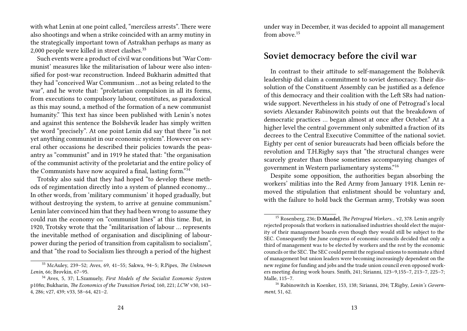with what Lenin at one point called, "merciless arrests". There were also shootings and when a strike coincided with an army mutiny in the strategically important town of Astrakhan perhaps as many as 2,000 people were killed in street clashes.<sup>33</sup>

Such events were a product of civil war conditions but 'War Communist' measures like the militarisation of labour were also intensified for post-war reconstruction. Indeed Bukharin admitted that they had "conceived War Communism …not as being related to the war", and he wrote that: "proletarian compulsion in all its forms, from executions to compulsory labour, constitutes, as paradoxical as this may sound, a method of the formation of a new communist humanity." This text has since been published with Lenin's notes and against this sentence the Bolshevik leader has simply written the word "precisely". At one point Lenin did say that there "is not yet anything communist in our economic system". However on several other occasions he described their policies towards the peasantry as "communist" and in 1919 he stated that: "the organisation of the communist activity of the proletariat and the entire policy of the Communists have now acquired a final, lasting form."<sup>34</sup>

Trotsky also said that they had hoped "to develop these methods of regimentation directly into a system of planned economy… In other words, from 'military communism' it hoped gradually, but without destroying the system, to arrive at genuine communism." Lenin later convinced him that they had been wrong to assume they could run the economy on "communist lines" at this time. But, in 1920, Trotsky wrote that the "militarisation of labour … represents the inevitable method of organisation and disciplining of labourpower during the period of transition from capitalism to socialism", and that "the road to Socialism lies through a period of the highest

<sup>33</sup> McAuley, 239–52; Aves, 69, 41–55; Sakwa, 94–5; R.Pipes, *The Unknown Lenin*, 66; Brovkin, 67–95.

under way in December, it was decided to appoint all management from above.<sup>15</sup>

#### **Soviet democracy before the civil war**

In contrast to their attitude to self-management the Bolshevik leadership did claim a commitment to soviet democracy. Their dissolution of the Constituent Assembly can be justified as a defence of this democracy and their coalition with the Left SRs had nationwide support. Nevertheless in his study of one of Petrograd's local soviets Alexander Rabinowitch points out that the breakdown of democratic practices … began almost at once after October." At a higher level the central government only submitted a fraction of its decrees to the Central Executive Committee of the national soviet. Eighty per cent of senior bureaucrats had been officials before the revolution and T.H.Rigby says that "the structural changes were scarcely greater than those sometimes accompanying changes of government in Western parliamentary systems."<sup>16</sup>

Despite some opposition, the authorities began absorbing the workers' militias into the Red Army from January 1918. Lenin removed the stipulation that enlistment should be voluntary and, with the failure to hold back the German army, Trotsky was soon

<sup>34</sup> Aves, 5, 37; L.Szamuely, *First Models of the Socialist Economic System* p108n; Bukharin, *The Economics of the Transition Period*, 160, 221; *LCW* v30, 143– 4, 286; v27, 439; v33, 58–64, 421–2.

<sup>15</sup> Rosenberg, 236; **D.Mandel**, *The Petrograd Workers…* v2*,* 378. Lenin angrily rejected proposals that workers in nationalised industries should elect the majority of their management boards even though they would still be subject to the SEC. Consequently the June congress of economic councils decided that only a third of management was to be elected by workers and the rest by the economic councils or the SEC.The SEC could permit the regional unions to nominate a third of management but union leaders were becoming increasingly dependent on the new regime for funding and jobs and the trade union council even opposed workers meeting during work hours. Smith, 241; Sirianni, 123–9,155–7, 213–7, 225–7; Malle, 115–7.

<sup>16</sup> Rabinowitch in Koenker, 153, 138; Sirianni, 204; T.Rigby, *Lenin's Government*, 51, 62.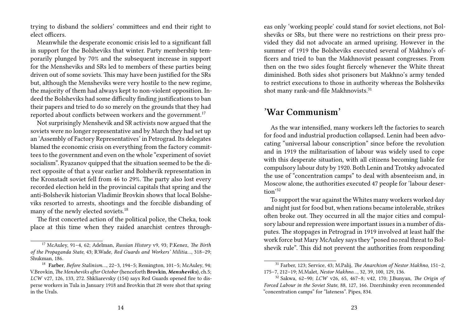trying to disband the soldiers' committees and end their right to elect officers.

Meanwhile the desperate economic crisis led to a significant fall in support for the Bolsheviks that winter. Party membership temporarily plunged by 70% and the subsequent increase in support for the Mensheviks and SRs led to members of these parties being driven out of some soviets. This may have been justified for the SRs but, although the Mensheviks were very hostile to the new regime, the majority of them had always kept to non-violent opposition. Indeed the Bolsheviks had some difficulty finding justifications to ban their papers and tried to do so merely on the grounds that they had reported about conflicts between workers and the government.<sup>17</sup>

Not surprisingly Menshevik and SR activists now argued that the soviets were no longer representative and by March they had set up an 'Assembly of Factory Representatives' in Petrograd. Its delegates blamed the economic crisis on everything from the factory committees to the government and even on the whole "experiment of soviet socialism". Ryazanov quipped that the situation seemed to be the direct opposite of that a year earlier and Bolshevik representation in the Kronstadt soviet fell from 46 to 29%. The party also lost every recorded election held in the provincial capitals that spring and the anti-Bolshevik historian Vladimir Brovkin shows that local Bolsheviks resorted to arrests, shootings and the forcible disbanding of many of the newly elected soviets.<sup>18</sup>

The first concerted action of the political police, the Cheka, took place at this time when they raided anarchist centres through-

eas only 'working people' could stand for soviet elections, not Bolsheviks or SRs, but there were no restrictions on their press provided they did not advocate an armed uprising. However in the summer of 1919 the Bolsheviks executed several of Makhno's officers and tried to ban the Makhnovist peasant congresses. From then on the two sides fought fiercely whenever the White threat diminished. Both sides shot prisoners but Makhno's army tended to restrict executions to those in authority whereas the Bolsheviks shot many rank-and-file Makhnovists.<sup>31</sup>

## **'War Communism'**

As the war intensified, many workers left the factories to search for food and industrial production collapsed. Lenin had been advocating "universal labour conscription" since before the revolution and in 1919 the militarisation of labour was widely used to cope with this desperate situation, with all citizens becoming liable for compulsory labour duty by 1920. Both Lenin and Trotsky advocated the use of "concentration camps" to deal with absenteeism and, in Moscow alone, the authorities executed 47 people for 'labour desertion'<sup>32</sup>

To support the war against the Whites many workers worked day and night just for food but, when rations became intolerable, strikes often broke out. They occurred in all the major cities and compulsory labour and repression were important issues in a number of disputes. The stoppages in Petrograd in 1919 involved at least half the work force but Mary McAuley says they "posed no real threat to Bolshevik rule". This did not prevent the authorities from responding

<sup>17</sup> McAuley, 91–4, 62; Adelman, *Russian History* v9, 93; P.Kenez, *The Birth of the Propaganda State*, 43; R.Wade, *Red Guards and Workers' Militia…*, 318–29; Shukman, 186.

<sup>18</sup> **Farber**, *Before Stalinism…*, 22–3, 194–5; Remington, 101–5; McAuley, 94; V.Brovkin, *The Mensheviks after October* (henceforth **Brovkin**, *Mensheviks*)*,* ch.5; *LCW* v27, 126, 133, 272. Shkliarevsky (154) says Red Guards opened fire to disperse workers in Tula in January 1918 and Brovkin that 28 were shot that spring in the Urals.

<sup>31</sup> Farber, 123; Service, 43; M.Palij, *The Anarchism of Nestor Makhno,* 151–2, 175–7, 212–19; M.Malet, *Nestor Makhno…*, 32, 39, 100, 129, 136.

<sup>32</sup> Sakwa, 62–90; *LCW* v26, 65, 467–8; v42, 170; J.Bunyan, *The Origin of Forced Labour in the Soviet State*, 88, 127, 166. Dzerzhinsky even recommended "concentration camps" for "lateness". Pipes, 834.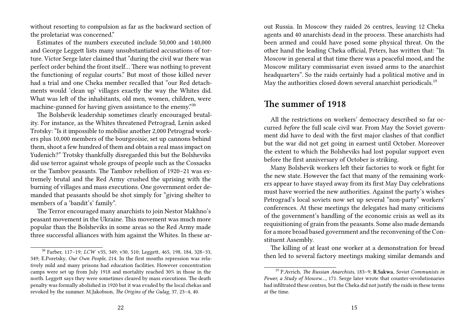without resorting to compulsion as far as the backward section of the proletariat was concerned."

Estimates of the numbers executed include 50,000 and 140,000 and George Leggett lists many unsubstantiated accusations of torture. Victor Serge later claimed that "during the civil war there was perfect order behind the front itself… There was nothing to prevent the functioning of regular courts." But most of those killed never had a trial and one Cheka member recalled that "our Red detachments would 'clean up' villages exactly the way the Whites did. What was left of the inhabitants, old men, women, children, were machine-gunned for having given assistance to the enemy."<sup>30</sup>

The Bolshevik leadership sometimes clearly encouraged brutality. For instance, as the Whites threatened Petrograd, Lenin asked Trotsky: "Is it impossible to mobilise another 2,000 Petrograd workers plus 10,000 members of the bourgeoisie, set up cannons behind them, shoot a few hundred of them and obtain a real mass impact on Yudenich?" Trotsky thankfully disregarded this but the Bolsheviks did use terror against whole groups of people such as the Cossacks or the Tambov peasants. The Tambov rebellion of 1920–21 was extremely brutal and the Red Army crushed the uprising with the burning of villages and mass executions. One government order demanded that peasants should be shot simply for "giving shelter to members of a 'bandit's' family".

The Terror encouraged many anarchists to join Nestor Makhno's peasant movement in the Ukraine. This movement was much more popular than the Bolsheviks in some areas so the Red Army made three successful alliances with him against the Whites. In these arout Russia. In Moscow they raided 26 centres, leaving 12 Cheka agents and 40 anarchists dead in the process. These anarchists had been armed and could have posed some physical threat. On the other hand the leading Cheka official, Peters, has written that: "In Moscow in general at that time there was a peaceful mood, and the Moscow military commissariat even issued arms to the anarchist headquarters". So the raids certainly had a political motive and in May the authorities closed down several anarchist periodicals.<sup>19</sup>

# **The summer of 1918**

All the restrictions on workers' democracy described so far occurred *before* the full scale civil war. From May the Soviet government did have to deal with the first major clashes of that conflict but the war did not get going in earnest until October. Moreover the extent to which the Bolsheviks had lost popular support even before the first anniversary of October is striking.

Many Bolshevik workers left their factories to work or fight for the new state. However the fact that many of the remaining workers appear to have stayed away from its first May Day celebrations must have worried the new authorities. Against the party's wishes Petrograd's local soviets now set up several "non-party" workers' conferences. At these meetings the delegates had many criticisms of the government's handling of the economic crisis as well as its requisitioning of grain from the peasants. Some also made demands for a more broad based government and the reconvening of the Constituent Assembly.

The killing of at least one worker at a demonstration for bread then led to several factory meetings making similar demands and

<sup>30</sup> Farber, 117–19; *LCW* v35, 349; v30, 510; Leggett, 465, 198, 184, 328–33, 349; E.Poretsky, *Our Own People,* 214. In the first months repression was relatively mild and many prisons had education facilities. However concentration camps were set up from July 1918 and mortality reached 30% in those in the north. Leggett says they were sometimes cleared by mass executions. The death penalty was formally abolished in 1920 but it was evaded by the local chekas and revoked by the summer. M.Jakobson, *The Origins of the Gulag,* 37, 23–4, 40.

<sup>19</sup> P.Avrich, *The Russian Anarchists,* 183–9; **R.Sakwa**, *Soviet Communists in Power, a Study of Moscow…,* 171. Serge later wrote that counter-revolutionaries had infiltrated these centres, but the Cheka did not justify the raids in these terms at the time.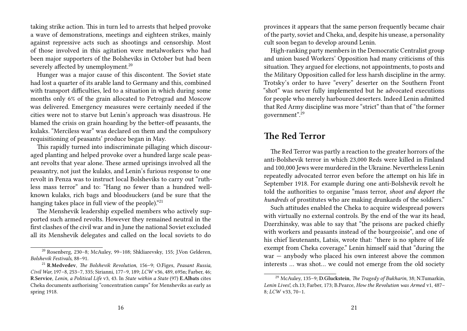taking strike action. This in turn led to arrests that helped provoke a wave of demonstrations, meetings and eighteen strikes, mainly against repressive acts such as shootings and censorship. Most of those involved in this agitation were metalworkers who had been major supporters of the Bolsheviks in October but had been severely affected by unemployment.<sup>20</sup>

Hunger was a major cause of this discontent. The Soviet state had lost a quarter of its arable land to Germany and this, combined with transport difficulties, led to a situation in which during some months only 6% of the grain allocated to Petrograd and Moscow was delivered. Emergency measures were certainly needed if the cities were not to starve but Lenin's approach was disastrous. He blamed the crisis on grain hoarding by the better-off peasants, the kulaks. "Merciless war" was declared on them and the compulsory requisitioning of peasants' produce began in May.

This rapidly turned into indiscriminate pillaging which discouraged planting and helped provoke over a hundred large scale peasant revolts that year alone. These armed uprisings involved all the peasantry, not just the kulaks, and Lenin's furious response to one revolt in Penza was to instruct local Bolsheviks to carry out "ruthless mass terror" and to: "Hang no fewer than a hundred wellknown kulaks, rich bags and bloodsuckers (and be sure that the hanging takes place in full view of the people)."<sup>21</sup>

The Menshevik leadership expelled members who actively supported such armed revolts. However they remained neutral in the first clashes of the civil war and in June the national Soviet excluded all its Menshevik delegates and called on the local soviets to do

provinces it appears that the same person frequently became chair of the party, soviet and Cheka, and, despite his unease, a personality cult soon began to develop around Lenin.

High-ranking party members in the Democratic Centralist group and union based Workers' Opposition had many criticisms of this situation. They argued for elections, not appointments, to posts and the Military Opposition called for less harsh discipline in the army. Trotsky's order to have "every" deserter on the Southern Front "shot" was never fully implemented but he advocated executions for people who merely harboured deserters. Indeed Lenin admitted that Red Army discipline was more "strict" than that of "the former government".<sup>29</sup>

# **The Red Terror**

The Red Terror was partly a reaction to the greater horrors of the anti-Bolshevik terror in which 23,000 Reds were killed in Finland and 100,000 Jews were murdered in the Ukraine. Nevertheless Lenin repeatedly advocated terror even before the attempt on his life in September 1918. For example during one anti-Bolshevik revolt he told the authorities to organise "mass terror, *shoot and deport the hundreds* of prostitutes who are making drunkards of the soldiers."

Such attitudes enabled the Cheka to acquire widespread powers with virtually no external controls. By the end of the war its head, Dzerzhinsky, was able to say that "the prisons are packed chiefly with workers and peasants instead of the bourgeoisie", and one of his chief lieutenants, Latsis, wrote that: "there is no sphere of life exempt from Cheka coverage." Lenin himself said that "during the war — anybody who placed his own interest above the common interests … was shot… we could not emerge from the old society

<sup>20</sup> Rosenberg, 230–8; McAuley, 99–108; Shkliarevsky, 155; J.Von Gelderen, *Bolshevik Festivals*, 88–91.

<sup>21</sup> **R.Medvedev**, *The Bolshevik Revolution*, 156–9; O.Figes, *Peasant Russia, Civil War,* 197–8, 253–7, 335; Sirianni, 177–9, 189; *LCW* v36, 489, 695n; Farber, 46; **R.Service**, *Lenin, a Political Life* v3, 43. In *State within a State* (97) **E.Albats** cites Cheka documents authorising "concentration camps" for Mensheviks as early as spring 1918.

<sup>29</sup> McAuley, 135–9; **D.Gluckstein**, *The Tragedy of Bukharin*, 38; N.Tumarkin, *Lenin Lives!*, ch.13; Farber, 173; B.Pearce, *How the Revolution was Armed* v1, 487– 8; *LCW* v33, 70–1.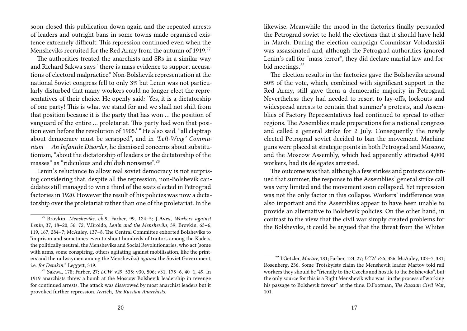soon closed this publication down again and the repeated arrests of leaders and outright bans in some towns made organised existence extremely difficult. This repression continued even when the Mensheviks recruited for the Red Army from the autumn of 1919.<sup>27</sup>

The authorities treated the anarchists and SRs in a similar way and Richard Sakwa says "there is mass evidence to support accusations of electoral malpractice." Non-Bolshevik representation at the national Soviet congress fell to only 3% but Lenin was not particularly disturbed that many workers could no longer elect the representatives of their choice. He openly said: 'Yes, it is a dictatorship of one party! This is what we stand for and we shall not shift from that position because it is the party that has won … the position of vanguard of the entire … proletariat. This party had won that position even before the revolution of 1905.' " He also said, "all claptrap about democracy must be scrapped", and in *'Left-Wing' Communism — An Infantile Disorder*, he dismissed concerns about substitutionism, "about the dictatorship of leaders *or* the dictatorship of the masses" as "ridiculous and childish nonsense".<sup>28</sup>

Lenin's reluctance to allow real soviet democracy is not surprising considering that, despite all the repression, non-Bolshevik candidates still managed to win a third of the seats elected in Petrograd factories in 1920. However the result of his policies was now a dictatorship over the proletariat rather than one of the proletariat. In the

likewise. Meanwhile the mood in the factories finally persuaded the Petrograd soviet to hold the elections that it should have held in March. During the election campaign Commissar Volodarskii was assassinated and, although the Petrograd authorities ignored Lenin's call for "mass terror", they did declare martial law and forbid meetings.<sup>22</sup>

The election results in the factories gave the Bolsheviks around 50% of the vote, which, combined with significant support in the Red Army, still gave them a democratic majority in Petrograd. Nevertheless they had needed to resort to lay-offs, lockouts and widespread arrests to contain that summer's protests, and Assemblies of Factory Representatives had continued to spread to other regions. The Assemblies made preparations for a national congress and called a general strike for 2 July. Consequently the newly elected Petrograd soviet decided to ban the movement. Machine guns were placed at strategic points in both Petrograd and Moscow, and the Moscow Assembly, which had apparently attracted 4,000 workers, had its delegates arrested.

The outcome was that, although a few strikes and protests continued that summer, the response to the Assemblies' general strike call was very limited and the movement soon collapsed. Yet repression was not the only factor in this collapse. Workers' indifference was also important and the Assemblies appear to have been unable to provide an alternative to Bolshevik policies. On the other hand, in contrast to the view that the civil war simply created problems for the Bolsheviks, it could be argued that the threat from the Whites

<sup>27</sup> Brovkin, *Mensheviks*, ch.9; Farber, 99, 124–5; **J.Aves**, *Workers against Lenin*, 37, 18–20, 56, 72; V.Broido, *Lenin and the Mensheviks*, 39; Brovkin, 63–6, 119, 167, 284–7; McAuley, 137–8. The Central Committee exhorted Bolsheviks to "imprison and sometimes even to shoot hundreds of traitors among the Kadets, the politically neutral, the Mensheviks and Social Revolutionaries, who act (some with arms, some conspiring, others agitating against mobilisation, like the printers and the railwaymen among the Mensheviks) *against* the Soviet Government, i.e. *for Denikin.*" Leggett, 319.

<sup>28</sup> Sakwa, 178; Farber, 27; *LCW* v29, 535; v30, 506; v31, 175–6, 40–1, 49. In 1919 anarchists threw a bomb at the Moscow Bolshevik leadership in revenge for continued arrests. The attack was disavowed by most anarchist leaders but it provoked further repression. Avrich, *The Russian Anarchists*.

<sup>22</sup> I.Getzler, *Martov*, 181; Farber, 124, 27; *LCW* v35, 336; McAuley, 103–7, 381; Rosenberg, 236. Some Trotskyists claim the Menshevik leader Martov told rail workers they should be "friendly to the Czechs and hostile to the Bolsheviks", but the only source for this is a Right Menshevik who was "in the process of working his passage to Bolshevik favour" at the time. D.Footman, *The Russian Civil War*, 101.